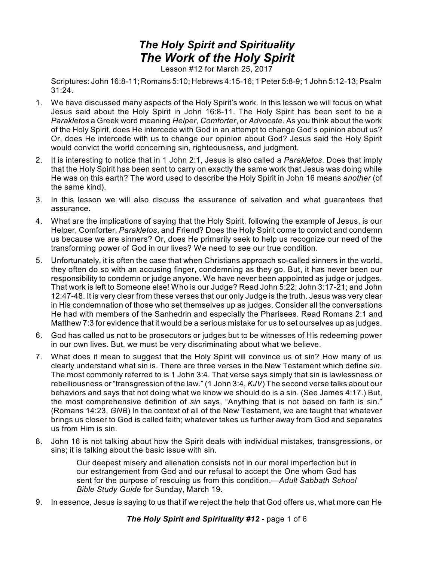## *The Holy Spirit and Spirituality The Work of the Holy Spirit*

Lesson #12 for March 25, 2017

Scriptures: John 16:8-11; Romans 5:10; Hebrews 4:15-16; 1 Peter 5:8-9; 1 John 5:12-13; Psalm 31:24.

- 1. We have discussed many aspects of the Holy Spirit's work. In this lesson we will focus on what Jesus said about the Holy Spirit in John 16:8-11. The Holy Spirit has been sent to be a *Parakletos* a Greek word meaning *Helper*, *Comforter*, or *Advocate*. As you think about the work of the Holy Spirit, does He intercede with God in an attempt to change God's opinion about us? Or, does He intercede with us to change our opinion about God? Jesus said the Holy Spirit would convict the world concerning sin, righteousness, and judgment.
- 2. It is interesting to notice that in 1 John 2:1, Jesus is also called a *Parakletos*. Does that imply that the Holy Spirit has been sent to carry on exactly the same work that Jesus was doing while He was on this earth? The word used to describe the Holy Spirit in John 16 means *another* (of the same kind).
- 3. In this lesson we will also discuss the assurance of salvation and what guarantees that assurance.
- 4. What are the implications of saying that the Holy Spirit, following the example of Jesus, is our Helper, Comforter, *Parakletos*, and Friend? Does the Holy Spirit come to convict and condemn us because we are sinners? Or, does He primarily seek to help us recognize our need of the transforming power of God in our lives? We need to see our true condition.
- 5. Unfortunately, it is often the case that when Christians approach so-called sinners in the world, they often do so with an accusing finger, condemning as they go. But, it has never been our responsibility to condemn or judge anyone. We have never been appointed as judge or judges. That work is left to Someone else! Who is our Judge? Read John 5:22; John 3:17-21; and John 12:47-48. It is very clear from these verses that our only Judge is the truth. Jesus was very clear in His condemnation of those who set themselves up as judges. Consider all the conversations He had with members of the Sanhedrin and especially the Pharisees. Read Romans 2:1 and Matthew 7:3 for evidence that it would be a serious mistake for us to set ourselves up as judges.
- 6. God has called us not to be prosecutors or judges but to be witnesses of His redeeming power in our own lives. But, we must be very discriminating about what we believe.
- 7. What does it mean to suggest that the Holy Spirit will convince us of sin? How many of us clearly understand what sin is. There are three verses in the New Testament which define *sin*. The most commonly referred to is 1 John 3:4. That verse says simply that sin is lawlessness or rebelliousness or "transgression of the law." (1 John 3:4, *KJV*) The second verse talks about our behaviors and says that not doing what we know we should do is a sin. (See James 4:17.) But, the most comprehensive definition of *sin* says, "Anything that is not based on faith is sin." (Romans 14:23, *GNB*) In the context of all of the New Testament, we are taught that whatever brings us closer to God is called faith; whatever takes us further away from God and separates us from Him is sin.
- 8. John 16 is not talking about how the Spirit deals with individual mistakes, transgressions, or sins; it is talking about the basic issue with sin.

Our deepest misery and alienation consists not in our moral imperfection but in our estrangement from God and our refusal to accept the One whom God has sent for the purpose of rescuing us from this condition.—*Adult Sabbath School Bible Study Guide* for Sunday, March 19.

9. In essence, Jesus is saying to us that if we reject the help that God offers us, what more can He

*The Holy Spirit and Spirituality #12 -* page 1 of 6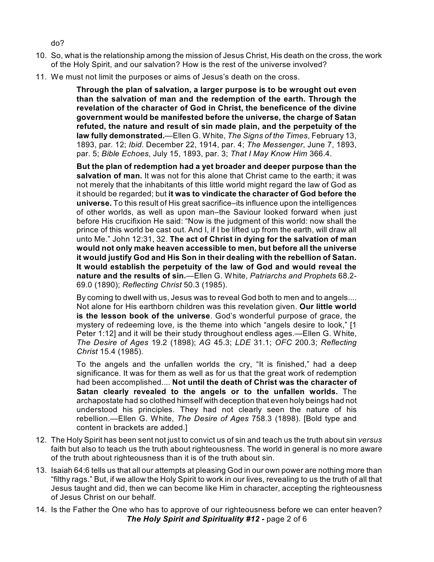do?

- 10. So, what is the relationship among the mission of Jesus Christ, His death on the cross, the work of the Holy Spirit, and our salvation? How is the rest of the universe involved?
- 11. We must not limit the purposes or aims of Jesus's death on the cross.

**Through the plan of salvation, a larger purpose is to be wrought out even than the salvation of man and the redemption of the earth. Through the revelation of the character of God in Christ, the beneficence of the divine government would be manifested before the universe, the charge of Satan refuted, the nature and result of sin made plain, and the perpetuity of the law fully demonstrated.**—Ellen G. White, *The Signs of the Times*, February 13, 1893, par. 12; *Ibid*. December 22, 1914, par. 4; *The Messenger*, June 7, 1893, par. 5; *Bible Echoes*, July 15, 1893, par. 3; *That I May Know Him* 366.4.

**But the plan of redemption had a yet broader and deeper purpose than the salvation of man.** It was not for this alone that Christ came to the earth; it was not merely that the inhabitants of this little world might regard the law of God as it should be regarded; but **it was to vindicate the character of God before the universe.** To this result of His great sacrifice–its influence upon the intelligences of other worlds, as well as upon man–the Saviour looked forward when just before His crucifixion He said: "Now is the judgment of this world: now shall the prince of this world be cast out. And I, if I be lifted up from the earth, will draw all unto Me." John 12:31, 32. **The act of Christ in dying for the salvation of man would not only make heaven accessible to men, but before all the universe it would justify God and His Son in their dealing with the rebellion of Satan. It would establish the perpetuity of the law of God and would reveal the nature and the results of sin.**—Ellen G. White, *Patriarchs and Prophets* 68.2- 69.0 (1890); *Reflecting Christ* 50.3 (1985).

By coming to dwell with us, Jesus was to reveal God both to men and to angels.... Not alone for His earthborn children was this revelation given. **Our little world is the lesson book of the universe**. God's wonderful purpose of grace, the mystery of redeeming love, is the theme into which "angels desire to look," [1 Peter 1:12] and it will be their study throughout endless ages.—Ellen G. White, *The Desire of Ages* 19.2 (1898); *AG* 45.3; *LDE* 31.1; *OFC* 200.3; *Reflecting Christ* 15.4 (1985).

To the angels and the unfallen worlds the cry, "It is finished," had a deep significance. It was for them as well as for us that the great work of redemption had been accomplished.... **Not until the death of Christ was the character of Satan clearly revealed to the angels or to the unfallen worlds.** The archapostate had so clothed himself with deception that even holy beings had not understood his principles. They had not clearly seen the nature of his rebellion.—Ellen G. White, *The Desire of Ages* 758.3 (1898). [Bold type and content in brackets are added.]

- 12. The Holy Spirit has been sent not just to convict us of sin and teach us the truth about sin *versus* faith but also to teach us the truth about righteousness. The world in general is no more aware of the truth about righteousness than it is of the truth about sin.
- 13. Isaiah 64:6 tells us that all our attempts at pleasing God in our own power are nothing more than "filthy rags." But, if we allow the Holy Spirit to work in our lives, revealing to us the truth of all that Jesus taught and did, then we can become like Him in character, accepting the righteousness of Jesus Christ on our behalf.
- 14. Is the Father the One who has to approve of our righteousness before we can enter heaven? *The Holy Spirit and Spirituality #12 -* page 2 of 6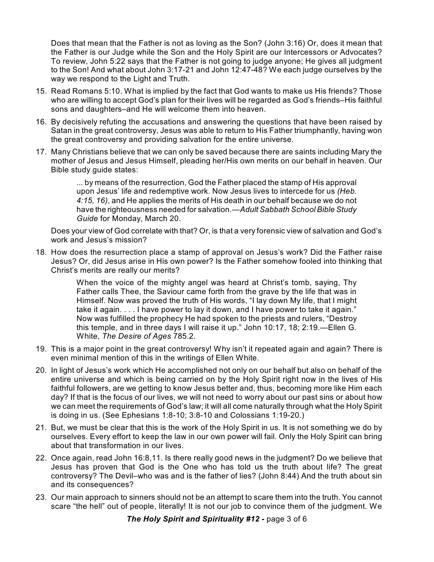Does that mean that the Father is not as loving as the Son? (John 3:16) Or, does it mean that the Father is our Judge while the Son and the Holy Spirit are our Intercessors or Advocates? To review, John 5:22 says that the Father is not going to judge anyone; He gives all judgment to the Son! And what about John 3:17-21 and John 12:47-48? We each judge ourselves by the way we respond to the Light and Truth.

- 15. Read Romans 5:10. What is implied by the fact that God wants to make us His friends? Those who are willing to accept God's plan for their lives will be regarded as God's friends–His faithful sons and daughters–and He will welcome them into heaven.
- 16. By decisively refuting the accusations and answering the questions that have been raised by Satan in the great controversy, Jesus was able to return to His Father triumphantly, having won the great controversy and providing salvation for the entire universe.
- 17. Many Christians believe that we can only be saved because there are saints including Mary the mother of Jesus and Jesus Himself, pleading her/His own merits on our behalf in heaven. Our Bible study guide states:

... by means of the resurrection, God the Father placed the stamp of His approval upon Jesus' life and redemptive work. Now Jesus lives to intercede for us *(Heb. 4:15, 16)*, and He applies the merits of His death in our behalf because we do not have the righteousness needed for salvation.—*Adult Sabbath School Bible Study Guide* for Monday, March 20.

Does your view of God correlate with that? Or, is that a very forensic view of salvation and God's work and Jesus's mission?

18. How does the resurrection place a stamp of approval on Jesus's work? Did the Father raise Jesus? Or, did Jesus arise in His own power? Is the Father somehow fooled into thinking that Christ's merits are really our merits?

> When the voice of the mighty angel was heard at Christ's tomb, saying, Thy Father calls Thee, the Saviour came forth from the grave by the life that was in Himself. Now was proved the truth of His words, "I lay down My life, that I might take it again. . . . I have power to lay it down, and I have power to take it again." Now was fulfilled the prophecy He had spoken to the priests and rulers, "Destroy this temple, and in three days I will raise it up." John 10:17, 18; 2:19.—Ellen G. White, *The Desire of Ages* 785.2.

- 19. This is a major point in the great controversy! Why isn't it repeated again and again? There is even minimal mention of this in the writings of Ellen White.
- 20. In light of Jesus's work which He accomplished not only on our behalf but also on behalf of the entire universe and which is being carried on by the Holy Spirit right now in the lives of His faithful followers, are we getting to know Jesus better and, thus, becoming more like Him each day? If that is the focus of our lives, we will not need to worry about our past sins or about how we can meet the requirements of God's law; it will all come naturally through what the Holy Spirit is doing in us. (See Ephesians 1:8-10; 3:8-10 and Colossians 1:19-20.)
- 21. But, we must be clear that this is the work of the Holy Spirit in us. It is not something we do by ourselves. Every effort to keep the law in our own power will fail. Only the Holy Spirit can bring about that transformation in our lives.
- 22. Once again, read John 16:8,11. Is there really good news in the judgment? Do we believe that Jesus has proven that God is the One who has told us the truth about life? The great controversy? The Devil–who was and is the father of lies? (John 8:44) And the truth about sin and its consequences?
- 23. Our main approach to sinners should not be an attempt to scare them into the truth. You cannot scare "the hell" out of people, literally! It is not our job to convince them of the judgment. We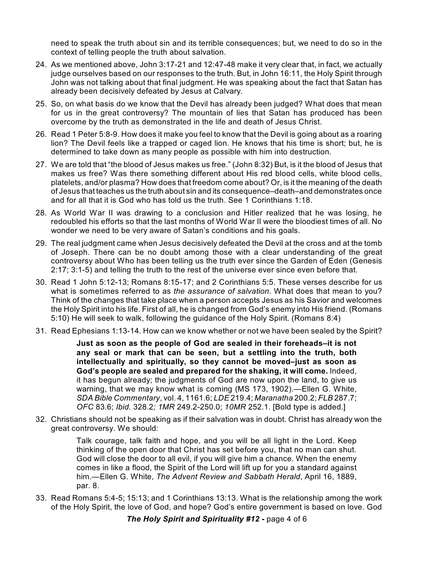need to speak the truth about sin and its terrible consequences; but, we need to do so in the context of telling people the truth about salvation.

- 24. As we mentioned above, John 3:17-21 and 12:47-48 make it very clear that, in fact, we actually judge ourselves based on our responses to the truth. But, in John 16:11, the Holy Spirit through John was not talking about that final judgment. He was speaking about the fact that Satan has already been decisively defeated by Jesus at Calvary.
- 25. So, on what basis do we know that the Devil has already been judged? What does that mean for us in the great controversy? The mountain of lies that Satan has produced has been overcome by the truth as demonstrated in the life and death of Jesus Christ.
- 26. Read 1 Peter 5:8-9. How does it make you feel to know that the Devil is going about as a roaring lion? The Devil feels like a trapped or caged lion. He knows that his time is short; but, he is determined to take down as many people as possible with him into destruction.
- 27. We are told that "the blood of Jesus makes us free." (John 8:32) But, is it the blood of Jesus that makes us free? Was there something different about His red blood cells, white blood cells, platelets, and/or plasma? How does that freedom come about? Or, is it the meaning of the death of Jesus that teaches us the truth about sin and its consequence–death–and demonstrates once and for all that it is God who has told us the truth. See 1 Corinthians 1:18.
- 28. As World War II was drawing to a conclusion and Hitler realized that he was losing, he redoubled his efforts so that the last months of World War II were the bloodiest times of all. No wonder we need to be very aware of Satan's conditions and his goals.
- 29. The real judgment came when Jesus decisively defeated the Devil at the cross and at the tomb of Joseph. There can be no doubt among those with a clear understanding of the great controversy about Who has been telling us the truth ever since the Garden of Eden (Genesis 2:17; 3:1-5) and telling the truth to the rest of the universe ever since even before that.
- 30. Read 1 John 5:12-13; Romans 8:15-17; and 2 Corinthians 5:5. These verses describe for us what is sometimes referred to as *the assurance of salvation*. What does that mean to you? Think of the changes that take place when a person accepts Jesus as his Savior and welcomes the Holy Spirit into his life. First of all, he is changed from God's enemy into His friend. (Romans 5:10) He will seek to walk, following the guidance of the Holy Spirit. (Romans 8:4)
- 31. Read Ephesians 1:13-14. How can we know whether or not we have been sealed by the Spirit?

**Just as soon as the people of God are sealed in their foreheads–it is not any seal or mark that can be seen, but a settling into the truth, both intellectually and spiritually, so they cannot be moved–just as soon as God's people are sealed and prepared for the shaking, it will come.** Indeed, it has begun already; the judgments of God are now upon the land, to give us warning, that we may know what is coming (MS 173, 1902).—Ellen G. White, *SDA Bible Commentary*, vol. 4, 1161.6; *LDE* 219.4; *Maranatha* 200.2; *FLB* 287.7; *OFC* 83.6; *Ibid.* 328.2*; 1MR* 249.2-250.0; *10MR* 252.1. [Bold type is added.]

32. Christians should not be speaking as if their salvation was in doubt. Christ has already won the great controversy. We should:

> Talk courage, talk faith and hope, and you will be all light in the Lord. Keep thinking of the open door that Christ has set before you, that no man can shut. God will close the door to all evil, if you will give him a chance. When the enemy comes in like a flood, the Spirit of the Lord will lift up for you a standard against him.—Ellen G. White, *The Advent Review and Sabbath Herald*, April 16, 1889, par. 8.

33. Read Romans 5:4-5; 15:13; and 1 Corinthians 13:13. What is the relationship among the work of the Holy Spirit, the love of God, and hope? God's entire government is based on love. God

*The Holy Spirit and Spirituality #12 -* page 4 of 6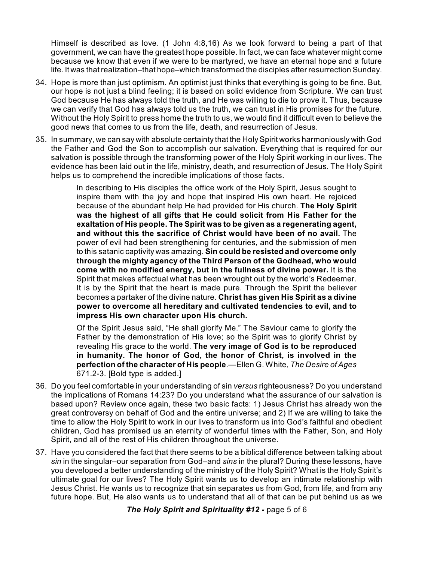Himself is described as love. (1 John 4:8,16) As we look forward to being a part of that government, we can have the greatest hope possible. In fact, we can face whatever might come because we know that even if we were to be martyred, we have an eternal hope and a future life. It was that realization–that hope–which transformed the disciples after resurrection Sunday.

- 34. Hope is more than just optimism. An optimist just thinks that everything is going to be fine. But, our hope is not just a blind feeling; it is based on solid evidence from Scripture. We can trust God because He has always told the truth, and He was willing to die to prove it. Thus, because we can verify that God has always told us the truth, we can trust in His promises for the future. Without the Holy Spirit to press home the truth to us, we would find it difficult even to believe the good news that comes to us from the life, death, and resurrection of Jesus.
- 35. In summary, we can say with absolute certainty that the HolySpirit works harmoniously with God the Father and God the Son to accomplish our salvation. Everything that is required for our salvation is possible through the transforming power of the Holy Spirit working in our lives. The evidence has been laid out in the life, ministry, death, and resurrection of Jesus. The Holy Spirit helps us to comprehend the incredible implications of those facts.

In describing to His disciples the office work of the Holy Spirit, Jesus sought to inspire them with the joy and hope that inspired His own heart. He rejoiced because of the abundant help He had provided for His church. **The Holy Spirit was the highest of all gifts that He could solicit from His Father for the exaltation of His people. The Spirit was to be given as a regenerating agent, and without this the sacrifice of Christ would have been of no avail.** The power of evil had been strengthening for centuries, and the submission of men to this satanic captivity was amazing. **Sin could be resisted and overcome only through the mighty agency of the Third Person of the Godhead, who would come with no modified energy, but in the fullness of divine power.** It is the Spirit that makes effectual what has been wrought out by the world's Redeemer. It is by the Spirit that the heart is made pure. Through the Spirit the believer becomes a partaker of the divine nature. **Christ has given His Spirit as a divine power to overcome all hereditary and cultivated tendencies to evil, and to impress His own character upon His church.**

Of the Spirit Jesus said, "He shall glorify Me." The Saviour came to glorify the Father by the demonstration of His love; so the Spirit was to glorify Christ by revealing His grace to the world. **The very image of God is to be reproduced in humanity. The honor of God, the honor of Christ, is involved in the perfection of the character of His people**.—Ellen G. White, *The Desire of Ages* 671.2-3. [Bold type is added.]

- 36. Do you feel comfortable in your understanding of sin *versus* righteousness? Do you understand the implications of Romans 14:23? Do you understand what the assurance of our salvation is based upon? Review once again, these two basic facts: 1) Jesus Christ has already won the great controversy on behalf of God and the entire universe; and 2) If we are willing to take the time to allow the Holy Spirit to work in our lives to transform us into God's faithful and obedient children, God has promised us an eternity of wonderful times with the Father, Son, and Holy Spirit, and all of the rest of His children throughout the universe.
- 37. Have you considered the fact that there seems to be a biblical difference between talking about *sin* in the singular–our separation from God–and *sins* in the plural? During these lessons, have you developed a better understanding of the ministry of the Holy Spirit? What is the Holy Spirit's ultimate goal for our lives? The Holy Spirit wants us to develop an intimate relationship with Jesus Christ. He wants us to recognize that sin separates us from God, from life, and from any future hope. But, He also wants us to understand that all of that can be put behind us as we

*The Holy Spirit and Spirituality #12 -* page 5 of 6